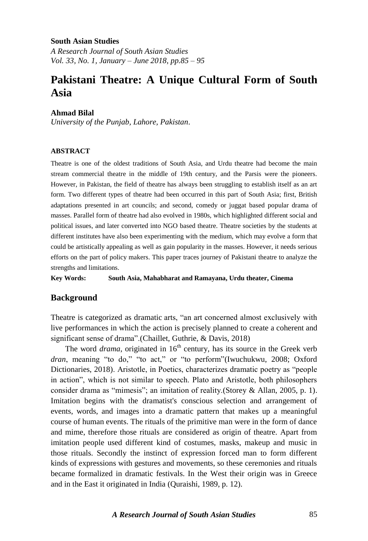#### **South Asian Studies**

*A Research Journal of South Asian Studies Vol. 33, No. 1, January – June 2018, pp.85 – 95*

# **Pakistani Theatre: A Unique Cultural Form of South Asia**

#### **Ahmad Bilal**

*University of the Punjab, Lahore, Pakistan.*

#### **ABSTRACT**

Theatre is one of the oldest traditions of South Asia, and Urdu theatre had become the main stream commercial theatre in the middle of 19th century, and the Parsis were the pioneers. However, in Pakistan, the field of theatre has always been struggling to establish itself as an art form. Two different types of theatre had been occurred in this part of South Asia; first, British adaptations presented in art councils; and second, comedy or juggat based popular drama of masses. Parallel form of theatre had also evolved in 1980s, which highlighted different social and political issues, and later converted into NGO based theatre. Theatre societies by the students at different institutes have also been experimenting with the medium, which may evolve a form that could be artistically appealing as well as gain popularity in the masses. However, it needs serious efforts on the part of policy makers. This paper traces journey of Pakistani theatre to analyze the strengths and limitations.

**Key Words: South Asia, Mahabharat and Ramayana, Urdu theater, Cinema**

#### **Background**

Theatre is categorized as dramatic arts, "an art concerned almost exclusively with live performances in which the action is precisely planned to create a coherent and significant sense of drama".(Chaillet, Guthrie, & Davis, 2018)

The word *drama*, originated in  $16<sup>th</sup>$  century, has its source in the Greek verb *dran*, meaning "to do," "to act," or "to perform"(Iwuchukwu, 2008; Oxford Dictionaries, 2018). Aristotle, in Poetics, characterizes dramatic poetry as "people in action", which is not similar to speech. Plato and Aristotle, both philosophers consider drama as "mimesis"; an imitation of reality.(Storey & Allan, 2005, p. 1). Imitation begins with the dramatist's conscious selection and arrangement of events, words, and images into a dramatic pattern that makes up a meaningful course of human events. The rituals of the primitive man were in the form of dance and mime, therefore those rituals are considered as origin of theatre. Apart from imitation people used different kind of costumes, masks, makeup and music in those rituals. Secondly the instinct of expression forced man to form different kinds of expressions with gestures and movements, so these ceremonies and rituals became formalized in dramatic festivals. In the West their origin was in Greece and in the East it originated in India (Quraishi, 1989, p. 12)*.*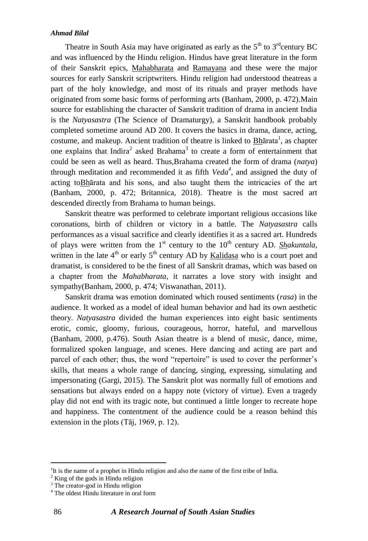Theatre in South Asia may have originated as early as the  $5<sup>th</sup>$  to  $3<sup>rd</sup>$ century BC and was influenced by the Hindu religion. Hindus have great literature in the form of their Sanskrit epics, [Mahabharata](http://encarta.msn.com/encyclopedia_761559384/Mahabharata.html) and [Ramayana](http://encarta.msn.com/encyclopedia_761567508/Ramayana.html) and these were the major sources for early Sanskrit scriptwriters. Hindu religion had understood theatreas a part of the holy knowledge, and most of its rituals and prayer methods have originated from some basic forms of performing arts (Banham, 2000, p. 472).Main source for establishing the character of Sanskrit tradition of drama in ancient India is the *Natyasastra* (The Science of Dramaturgy), a Sanskrit handbook probably completed sometime around AD 200. It covers the basics in drama, dance, acting, costume, and makeup. Ancient tradition of theatre is linked to **Bh**anta<sup>1</sup>, as chapter one explains that Indira<sup>2</sup> asked Brahama<sup>3</sup> to create a form of entertainment that could be seen as well as heard. Thus,Brahama created the form of drama (*natya*) through meditation and recommended it as fifth *Veda<sup>4</sup>* , and assigned the duty of acting toBhārata and his sons, and also taught them the intricacies of the art (Banham, 2000, p. 472; Britannica, 2018). Theatre is the most sacred art descended directly from Brahama to human beings.

Sanskrit theatre was performed to celebrate important religious occasions like coronations, birth of children or victory in a battle. The *Natyasastra* calls performances as a visual sacrifice and clearly identifies it as a sacred art. Hundreds of plays were written from the  $1<sup>st</sup>$  century to the  $10<sup>th</sup>$  century AD. *Shakuntala*, written in the late  $4<sup>th</sup>$  or early  $5<sup>th</sup>$  century AD by [Kalidasa](http://encarta.msn.com/encyclopedia_761574484/Kalidasa.html) who is a court poet and dramatist, is considered to be the finest of all Sanskrit dramas, which was based on a chapter from the *Mahabharata*, it narrates a love story with insight and sympathy(Banham, 2000, p. 474; Viswanathan, 2011).

Sanskrit drama was emotion dominated which roused sentiments (*rasa*) in the audience. It worked as a model of ideal human behavior and had its own aesthetic theory. *Natyasastra* divided the human experiences into eight basic sentiments erotic, comic, gloomy, furious, courageous, horror, hateful, and marvellous (Banham, 2000, p.476). South Asian theatre is a blend of music, dance, mime, formalized spoken language, and scenes. Here dancing and acting are part and parcel of each other; thus, the word "repertoire" is used to cover the performer's skills, that means a whole range of dancing, singing, expressing, simulating and impersonating (Gargi, 2015). The Sanskrit plot was normally full of emotions and sensations but always ended on a happy note (victory of virtue). Even a tragedy play did not end with its tragic note, but continued a little longer to recreate hope and happiness. The contentment of the audience could be a reason behind this extension in the plots (Tāj, 1969, p. 12).

<u>.</u>

<sup>&</sup>lt;sup>1</sup>It is the name of a prophet in Hindu religion and also the name of the first tribe of India.

 $2$  King of the gods in Hindu religion

<sup>&</sup>lt;sup>3</sup> The creator-god in Hindu religion

<sup>&</sup>lt;sup>4</sup> The oldest Hindu literature in oral form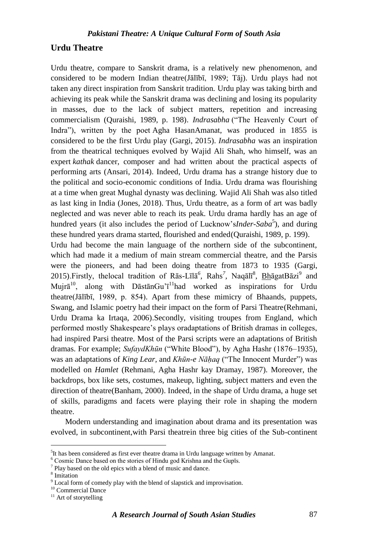# **Urdu Theatre**

Urdu theatre, compare to Sanskrit drama, is a relatively new phenomenon, and considered to be modern Indian theatre(Jālībī, 1989; Tāj). Urdu plays had not taken any direct inspiration from Sanskrit tradition. Urdu play was taking birth and achieving its peak while the Sanskrit drama was declining and losing its popularity in masses, due to the lack of subject matters, repetition and increasing commercialism (Quraishi, 1989, p. 198). *Indrasabha* ("The Heavenly Court of Indra"), written by the poet Agha HasanAmanat, was produced in 1855 is considered to be the first Urdu play (Gargi, 2015). *Indrasabha* was an inspiration from the theatrical techniques evolved by Wajid Ali Shah, who himself, was an expert *kathak* dancer, composer and had written about the practical aspects of performing arts (Ansari, 2014). Indeed, Urdu drama has a strange history due to the political and socio-economic conditions of India. Urdu drama was flourishing at a time when great Mughal dynasty was declining. Wajid Ali Shah was also titled as last king in India (Jones, 2018). Thus, Urdu theatre, as a form of art was badly neglected and was never able to reach its peak. Urdu drama hardly has an age of hundred years (it also includes the period of Lucknow's*Inder-Saba*<sup>5</sup>), and during these hundred years drama started, flourished and ended(Quraishi, 1989, p. 199). Urdu had become the main language of the northern side of the subcontinent, which had made it a medium of main stream commercial theatre, and the Parsis

were the pioneers, and had been doing theatre from 1873 to 1935 (Gargi, 2015).Firstly, thelocal tradition of Rās-Līlā<sup>6</sup>, Rahs<sup>7</sup>, Naqālī<sup>8</sup>, BhāgatBāzi<sup>9</sup> and Mujr $\bar{a}^{10}$ , along with DāstānGu'<sup> $11$ </sup>had worked as inspirations for Urdu theatre(Jālībī, 1989, p. 854). Apart from these mimicry of Bhaands, puppets, Swang, and Islamic poetry had their impact on the form of Parsi Theatre(Rehmani, Urdu Drama ka Irtaqa, 2006).Secondly, visiting troupes from England, which performed mostly Shakespeare"s plays oradaptations of British dramas in colleges, had inspired Parsi theatre. Most of the Parsi scripts were an adaptations of British dramas. For example; *SufaydKhūn* ("White Blood"), by Agha Hashr (1876–1935), was an adaptations of *King Lear,* and *Khūn-e Nāḥaq* ("The Innocent Murder") was modelled on *Hamlet* (Rehmani, Agha Hashr kay Dramay, 1987). Moreover, the backdrops, box like sets, costumes, makeup, lighting, subject matters and even the direction of theatre(Banham, 2000). Indeed, in the shape of Urdu drama, a huge set of skills, paradigms and facets were playing their role in shaping the modern theatre.

Modern understanding and imagination about drama and its presentation was evolved, in subcontinent,with Parsi theatrein three big cities of the Sub-continent

<u>.</u>

<sup>&</sup>lt;sup>5</sup>It has been considered as first ever theatre drama in Urdu language written by Amanat.

 $^6$  Cosmic Dance based on the stories of Hindu god Krishna and the Gupīs.

<sup>&</sup>lt;sup>7</sup> Play based on the old epics with a blend of music and dance.

<sup>8</sup> Imitation

 $^9$  Local form of comedy play with the blend of slapstick and improvisation.

<sup>10</sup> Commercial Dance

<sup>&</sup>lt;sup>11</sup> Art of storytelling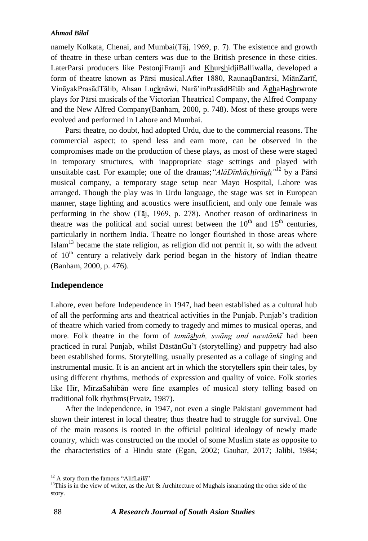namely Kolkata, Chenai, and Mumbai(Tāj, 1969, p. 7). The existence and growth of theatre in these urban centers was due to the British presence in these cities. LaterParsi producers like PestonjiFramji and KhurshidjiBalliwalla, developed a form of theatre known as Pārsi musical.After 1880, RaunaqBanārsi, MiānZarīf, VināyakPrasādTālib, Ahsan Lucknāwi, Narā"inPrasādBītāb and ĀghaHashrwrote plays for Pārsi musicals of the Victorian Theatrical Company, the Alfred Company and the New Alfred Company(Banham, 2000, p. 748). Most of these groups were evolved and performed in Lahore and Mumbai.

Parsi theatre, no doubt, had adopted Urdu, due to the commercial reasons. The commercial aspect; to spend less and earn more, can be observed in the compromises made on the production of these plays, as most of these were staged in temporary structures, with inappropriate stage settings and played with unsuitable cast. For example; one of the dramas;*"AlāDīnkāchīrāgh" <sup>12</sup>* by a Pārsi musical company, a temporary stage setup near Mayo Hospital, Lahore was arranged. Though the play was in Urdu language, the stage was set in European manner, stage lighting and acoustics were insufficient, and only one female was performing in the show (Tāj, 1969, p. 278). Another reason of ordinariness in theatre was the political and social unrest between the  $10<sup>th</sup>$  and  $15<sup>th</sup>$  centuries, particularly in northern India. Theatre no longer flourished in those areas where Islam<sup>13</sup> became the state religion, as religion did not permit it, so with the advent of 10<sup>th</sup> century a relatively dark period began in the history of Indian theatre (Banham, 2000, p. 476).

## **Independence**

Lahore, even before Independence in 1947, had been established as a cultural hub of all the performing arts and theatrical activities in the Punjab. Punjab"s tradition of theatre which varied from comedy to tragedy and mimes to musical operas, and more. Folk theatre in the form of *tamāshah, swāng and nawtānkī* had been practiced in rural Punjab, whilst DāstānGu"ī (storytelling) and puppetry had also been established forms. Storytelling, usually presented as a collage of singing and instrumental music. It is an ancient art in which the storytellers spin their tales, by using different rhythms, methods of expression and quality of voice. Folk stories like Hīr, MīrzaSahībān were fine examples of musical story telling based on traditional folk rhythms(Prvaiz, 1987).

After the independence, in 1947, not even a single Pakistani government had shown their interest in local theatre; thus theatre had to struggle for survival. One of the main reasons is rooted in the official political ideology of newly made country, which was constructed on the model of some Muslim state as opposite to the characteristics of a Hindu state (Egan, 2002; Gauhar, 2017; Jalibi, 1984;

1

<sup>&</sup>lt;sup>12</sup> A story from the famous "AlifLaila"

<sup>&</sup>lt;sup>13</sup>This is in the view of writer, as the Art & Architecture of Mughals isnarrating the other side of the story.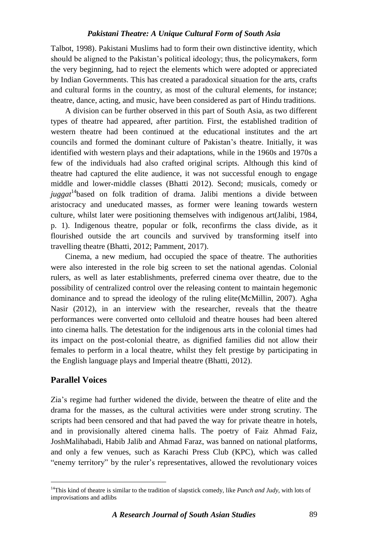Talbot, 1998). Pakistani Muslims had to form their own distinctive identity, which should be aligned to the Pakistan"s political ideology; thus, the policymakers, form the very beginning, had to reject the elements which were adopted or appreciated by Indian Governments. This has created a paradoxical situation for the arts, crafts and cultural forms in the country, as most of the cultural elements, for instance; theatre, dance, acting, and music, have been considered as part of Hindu traditions.

A division can be further observed in this part of South Asia, as two different types of theatre had appeared, after partition. First, the established tradition of western theatre had been continued at the educational institutes and the art councils and formed the dominant culture of Pakistan"s theatre. Initially, it was identified with western plays and their adaptations, while in the 1960s and 1970s a few of the individuals had also crafted original scripts. Although this kind of theatre had captured the elite audience, it was not successful enough to engage middle and lower-middle classes (Bhatti 2012). Second; musicals, comedy or *juggat*<sup>14</sup>based on folk tradition of drama. Jalibi mentions a divide between aristocracy and uneducated masses, as former were leaning towards western culture, whilst later were positioning themselves with indigenous art(Jalibi, 1984, p. 1). Indigenous theatre, popular or folk, reconfirms the class divide, as it flourished outside the art councils and survived by transforming itself into travelling theatre (Bhatti, 2012; Pamment, 2017).

Cinema, a new medium, had occupied the space of theatre. The authorities were also interested in the role big screen to set the national agendas. Colonial rulers, as well as later establishments, preferred cinema over theatre, due to the possibility of centralized control over the releasing content to maintain hegemonic dominance and to spread the ideology of the ruling elite(McMillin, 2007). Agha Nasir (2012), in an interview with the researcher, reveals that the theatre performances were converted onto celluloid and theatre houses had been altered into cinema halls. The detestation for the indigenous arts in the colonial times had its impact on the post-colonial theatre, as dignified families did not allow their females to perform in a local theatre, whilst they felt prestige by participating in the English language plays and Imperial theatre (Bhatti, 2012).

# **Parallel Voices**

1

Zia"s regime had further widened the divide, between the theatre of elite and the drama for the masses, as the cultural activities were under strong scrutiny. The scripts had been censored and that had paved the way for private theatre in hotels, and in provisionally altered cinema halls. The poetry of Faiz Ahmad Faiz, JoshMalihabadi, Habib Jalib and Ahmad Faraz, was banned on national platforms, and only a few venues, such as Karachi Press Club (KPC), which was called "enemy territory" by the ruler's representatives, allowed the revolutionary voices

<sup>14</sup>This kind of theatre is similar to the tradition of slapstick comedy, like *Punch and Judy*, with lots of improvisations and adlibs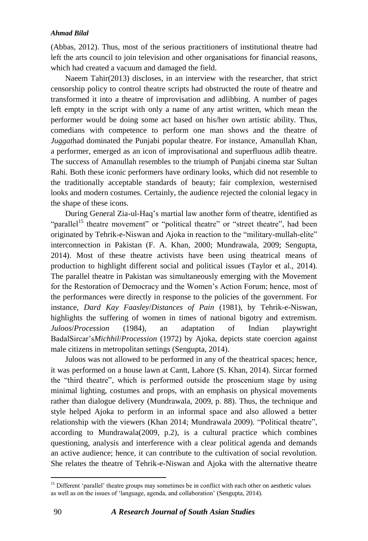(Abbas, 2012). Thus, most of the serious practitioners of institutional theatre had left the arts council to join television and other organisations for financial reasons, which had created a vacuum and damaged the field.

Naeem Tahir(2013) discloses, in an interview with the researcher, that strict censorship policy to control theatre scripts had obstructed the route of theatre and transformed it into a theatre of improvisation and adlibbing. A number of pages left empty in the script with only a name of any artist written, which mean the performer would be doing some act based on his/her own artistic ability. Thus, comedians with competence to perform one man shows and the theatre of *Juggat*had dominated the Punjabi popular theatre. For instance, Amanullah Khan, a performer, emerged as an icon of improvisational and superfluous adlib theatre. The success of Amanullah resembles to the triumph of Punjabi cinema star Sultan Rahi. Both these iconic performers have ordinary looks, which did not resemble to the traditionally acceptable standards of beauty; fair complexion, westernised looks and modern costumes. Certainly, the audience rejected the colonial legacy in the shape of these icons.

During General Zia-ul-Haq"s martial law another form of theatre, identified as "parallel<sup>15</sup> theatre movement" or "political theatre" or "street theatre", had been originated by Tehrik-e-Niswan and Ajoka in reaction to the "military-mullah-elite" interconnection in Pakistan (F. A. Khan, 2000; Mundrawala, 2009; Sengupta, 2014). Most of these theatre activists have been using theatrical means of production to highlight different social and political issues (Taylor et al., 2014). The parallel theatre in Pakistan was simultaneously emerging with the Movement for the Restoration of Democracy and the Women"s Action Forum; hence, most of the performances were directly in response to the policies of the government. For instance, *Dard Kay Faasley*/*Distances of Pain* (1981), by Tehrik-e-Niswan, highlights the suffering of women in times of national bigotry and extremism. *Juloos*/*Procession* (1984), an adaptation of Indian playwright BadalSircar"s*Michhil*/*Procession* (1972) by Ajoka, depicts state coercion against male citizens in metropolitan settings (Sengupta, 2014).

Juloos was not allowed to be performed in any of the theatrical spaces; hence, it was performed on a house lawn at Cantt, Lahore (S. Khan, 2014). Sircar formed the "third theatre", which is performed outside the proscenium stage by using minimal lighting, costumes and props, with an emphasis on physical movements rather than dialogue delivery (Mundrawala, 2009, p. 88). Thus, the technique and style helped Ajoka to perform in an informal space and also allowed a better relationship with the viewers (Khan 2014; Mundrawala 2009). "Political theatre", according to Mundrawala(2009, p.2), is a cultural practice which combines questioning, analysis and interference with a clear political agenda and demands an active audience; hence, it can contribute to the cultivation of social revolution. She relates the theatre of Tehrik-e-Niswan and Ajoka with the alternative theatre

1

<sup>&</sup>lt;sup>15</sup> Different 'parallel' theatre groups may sometimes be in conflict with each other on aesthetic values as well as on the issues of "language, agenda, and collaboration" (Sengupta, 2014).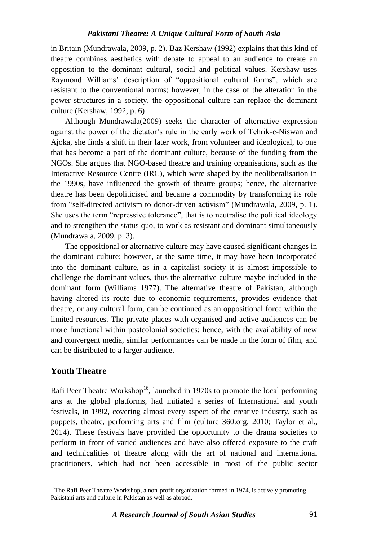in Britain (Mundrawala, 2009, p. 2). Baz Kershaw (1992) explains that this kind of theatre combines aesthetics with debate to appeal to an audience to create an opposition to the dominant cultural, social and political values. Kershaw uses Raymond Williams' description of "oppositional cultural forms", which are resistant to the conventional norms; however, in the case of the alteration in the power structures in a society, the oppositional culture can replace the dominant culture (Kershaw, 1992, p. 6).

Although Mundrawala(2009) seeks the character of alternative expression against the power of the dictator's rule in the early work of Tehrik-e-Niswan and Ajoka, she finds a shift in their later work, from volunteer and ideological, to one that has become a part of the dominant culture, because of the funding from the NGOs. She argues that NGO-based theatre and training organisations, such as the Interactive Resource Centre (IRC), which were shaped by the neoliberalisation in the 1990s, have influenced the growth of theatre groups; hence, the alternative theatre has been depoliticised and became a commodity by transforming its role from "self-directed activism to donor-driven activism" (Mundrawala, 2009, p. 1). She uses the term "repressive tolerance", that is to neutralise the political ideology and to strengthen the status quo, to work as resistant and dominant simultaneously (Mundrawala, 2009, p. 3).

The oppositional or alternative culture may have caused significant changes in the dominant culture; however, at the same time, it may have been incorporated into the dominant culture, as in a capitalist society it is almost impossible to challenge the dominant values, thus the alternative culture maybe included in the dominant form (Williams 1977). The alternative theatre of Pakistan, although having altered its route due to economic requirements, provides evidence that theatre, or any cultural form, can be continued as an oppositional force within the limited resources. The private places with organised and active audiences can be more functional within postcolonial societies; hence, with the availability of new and convergent media, similar performances can be made in the form of film, and can be distributed to a larger audience.

# **Youth Theatre**

1

Rafi Peer Theatre Workshop<sup>16</sup>, launched in 1970s to promote the local performing arts at the global platforms, had initiated a series of International and youth festivals, in 1992, covering almost every aspect of the creative industry, such as puppets, theatre, performing arts and film (culture 360.org, 2010; Taylor et al., 2014). These festivals have provided the opportunity to the drama societies to perform in front of varied audiences and have also offered exposure to the craft and technicalities of theatre along with the art of national and international practitioners, which had not been accessible in most of the public sector

<sup>&</sup>lt;sup>16</sup>The Rafi-Peer Theatre Workshop, a non-profit organization formed in 1974, is actively promoting Pakistani arts and culture in Pakistan as well as abroad.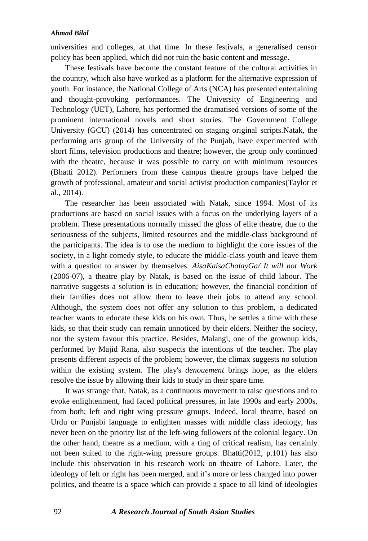universities and colleges, at that time. In these festivals, a generalised censor policy has been applied, which did not ruin the basic content and message.

These festivals have become the constant feature of the cultural activities in the country, which also have worked as a platform for the alternative expression of youth. For instance, the National College of Arts (NCA) has presented entertaining and thought-provoking performances. The University of Engineering and Technology (UET), Lahore, has performed the dramatised versions of some of the prominent international novels and short stories. The Government College University (GCU) (2014) has concentrated on staging original scripts.Natak, the performing arts group of the University of the Punjab, have experimented with short films, television productions and theatre; however, the group only continued with the theatre, because it was possible to carry on with minimum resources (Bhatti 2012). Performers from these campus theatre groups have helped the growth of professional, amateur and social activist production companies(Taylor et al., 2014).

The researcher has been associated with Natak, since 1994. Most of its productions are based on social issues with a focus on the underlying layers of a problem. These presentations normally missed the gloss of elite theatre, due to the seriousness of the subjects, limited resources and the middle-class background of the participants. The idea is to use the medium to highlight the core issues of the society, in a light comedy style, to educate the middle-class youth and leave them with a question to answer by themselves. *AisaKaisaChalayGa/ It will not Work* (2006-07), a theatre play by Natak, is based on the issue of child labour. The narrative suggests a solution is in education; however, the financial condition of their families does not allow them to leave their jobs to attend any school. Although, the system does not offer any solution to this problem, a dedicated teacher wants to educate these kids on his own. Thus, he settles a time with these kids, so that their study can remain unnoticed by their elders. Neither the society, nor the system favour this practice. Besides, Malangi, one of the grownup kids, performed by Majid Rana, also suspects the intentions of the teacher. The play presents different aspects of the problem; however, the climax suggests no solution within the existing system. The play's *denouement* brings hope, as the elders resolve the issue by allowing their kids to study in their spare time.

It was strange that, Natak, as a continuous movement to raise questions and to evoke enlightenment, had faced political pressures, in late 1990s and early 2000s, from both; left and right wing pressure groups. Indeed, local theatre, based on Urdu or Punjabi language to enlighten masses with middle class ideology, has never been on the priority list of the left-wing followers of the colonial legacy. On the other hand, theatre as a medium, with a ting of critical realism, has certainly not been suited to the right-wing pressure groups. Bhatti(2012, p.101) has also include this observation in his research work on theatre of Lahore. Later, the ideology of left or right has been merged, and it's more or less changed into power politics, and theatre is a space which can provide a space to all kind of ideologies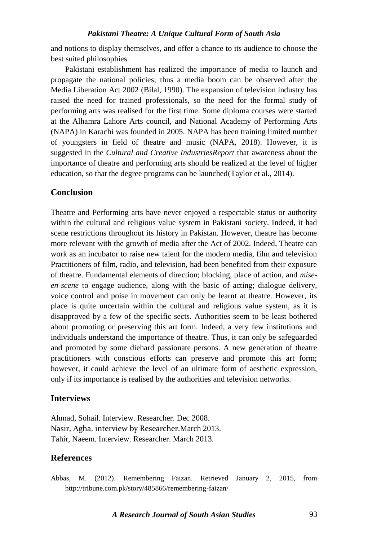and notions to display themselves, and offer a chance to its audience to choose the best suited philosophies.

Pakistani establishment has realized the importance of media to launch and propagate the national policies; thus a media boom can be observed after the Media Liberation Act 2002 (Bilal, 1990). The expansion of television industry has raised the need for trained professionals, so the need for the formal study of performing arts was realised for the first time. Some diploma courses were started at the Alhamra Lahore Arts council, and National Academy of Performing Arts (NAPA) in Karachi was founded in 2005. NAPA has been training limited number of youngsters in field of theatre and music (NAPA, 2018). However, it is suggested in the *Cultural and Creative IndustriesReport* that awareness about the importance of theatre and performing arts should be realized at the level of higher education, so that the degree programs can be launched(Taylor et al., 2014).

## **Conclusion**

Theatre and Performing arts have never enjoyed a respectable status or authority within the cultural and religious value system in Pakistani society. Indeed, it had scene restrictions throughout its history in Pakistan. However, theatre has become more relevant with the growth of media after the Act of 2002. Indeed, Theatre can work as an incubator to raise new talent for the modern media, film and television Practitioners of film, radio, and television, had been benefited from their exposure of theatre. Fundamental elements of direction; blocking, place of action, and *miseen-scene* to engage audience, along with the basic of acting; dialogue delivery, voice control and poise in movement can only be learnt at theatre. However, its place is quite uncertain within the cultural and religious value system, as it is disapproved by a few of the specific sects. Authorities seem to be least bothered about promoting or preserving this art form. Indeed, a very few institutions and individuals understand the importance of theatre. Thus, it can only be safeguarded and promoted by some diehard passionate persons. A new generation of theatre practitioners with conscious efforts can preserve and promote this art form; however, it could achieve the level of an ultimate form of aesthetic expression, only if its importance is realised by the authorities and television networks.

# **Interviews**

Ahmad, Sohail. Interview. Researcher. Dec 2008. Nasir, Agha, interview by Researcher.March 2013. Tahir, Naeem. Interview. Researcher. March 2013.

## **References**

Abbas, M. (2012). Remembering Faizan. Retrieved January 2, 2015, from http://tribune.com.pk/story/485866/remembering-faizan/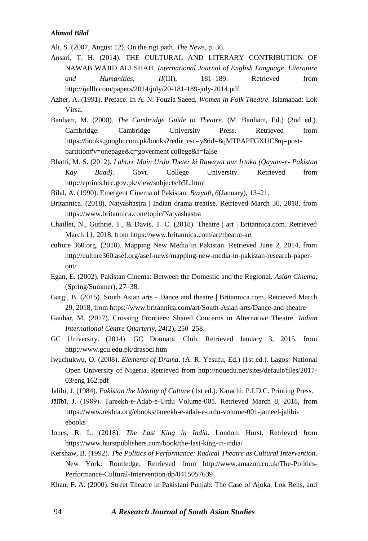Ali, S. (2007, August 12). On the rigt path. *The News*, p. 36.

- Ansari, T. H. (2014). THE CULTURAL AND LITERARY CONTRIBUTION OF NAWAB WAJID ALI SHAH. *International Journal of English Language, Literature and Humanities*, *II*(III), 181–189. Retrieved from http://ijellh.com/papers/2014/july/20-181-189-july-2014.pdf
- Azher, A. (1991). Preface. In A. N. Fouzia Saeed, *Women in Folk Theatre.* Islamabad: Lok Virsa.
- Banham, M. (2000). *The Cambridge Guide to Theatre*. (M. Banham, Ed.) (2nd ed.). Cambridge: Cambridge University Press. Retrieved from https://books.google.com.pk/books?redir\_esc=y&id=8qMTPAPFGXUC&q=postpartition#v=onepage&q=goverment college&f=false
- Bhatti, M. S. (2012). *Lahore Main Urdu Theter ki Rawayat aur Irtaka (Qayam-e- Pakistan Kay Baad)*. Govt. College University. Retrieved from http://eprints.hec.gov.pk/view/subjects/b5L.html
- Bilal, A. (1990). Emergent Cinema of Pakistan. *Bazyaft*, *6*(January), 13–21.
- Britannica. (2018). Natyashastra | Indian drama treatise. Retrieved March 30, 2018, from https://www.britannica.com/topic/Natyashastra
- Chaillet, N., Guthrie, T., & Davis, T. C. (2018). Theatre | art | Britannica.com. Retrieved March 11, 2018, from https://www.britannica.com/art/theatre-art
- culture 360.org. (2010). Mapping New Media in Pakistan. Retrieved June 2, 2014, from http://culture360.asef.org/asef-news/mapping-new-media-in-pakistan-research-paperout/
- Egan, E. (2002). Pakistan Cinema: Between the Domestic and the Regional. *Asian Cinema*, (Spring/Summer), 27–38.
- Gargi, B. (2015). South Asian arts Dance and theatre | Britannica.com. Retrieved March 29, 2018, from https://www.britannica.com/art/South-Asian-arts/Dance-and-theatre
- Gauhar, M. (2017). Crossing Frontiers: Shared Concerns in Alternative Theatre. *Indian International Centre Quarterly*, *24*(2), 250–258.
- GC University. (2014). GC Dramatic Club. Retrieved January 3, 2015, from http://www.gcu.edu.pk/drasoci.htm
- Iwuchukwu, O. (2008). *Elements of Drama*. (A. R. Yesufu, Ed.) (1st ed.). Lagos: National Open University of Nigeria. Retrieved from http://nouedu.net/sites/default/files/2017- 03/eng 162.pdf
- Jalibi, J. (1984). *Pakistan the Identity of Culture* (1st ed.). Karachi: P.I.D.C. Printing Press.
- Jālībī, J. (1989). Tareekh-e-Adab-e-Urdu Volume-001. Retrieved March 8, 2018, from https://www.rekhta.org/ebooks/tareekh-e-adab-e-urdu-volume-001-jameel-jalibiebooks
- Jones, R. L. (2018). *The Last King in India*. London: Hurst. Retrieved from https://www.hurstpublishers.com/book/the-last-king-in-india/
- Kershaw, B. (1992). *The Politics of Performance: Radical Theatre as Cultural Intervention*. New York: Routledge. Retrieved from http://www.amazon.co.uk/The-Politics-Performance-Cultural-Intervention/dp/0415057639
- Khan, F. A. (2000). Street Theatre in Pakistani Punjab: The Case of Ajoka, Lok Rehs, and